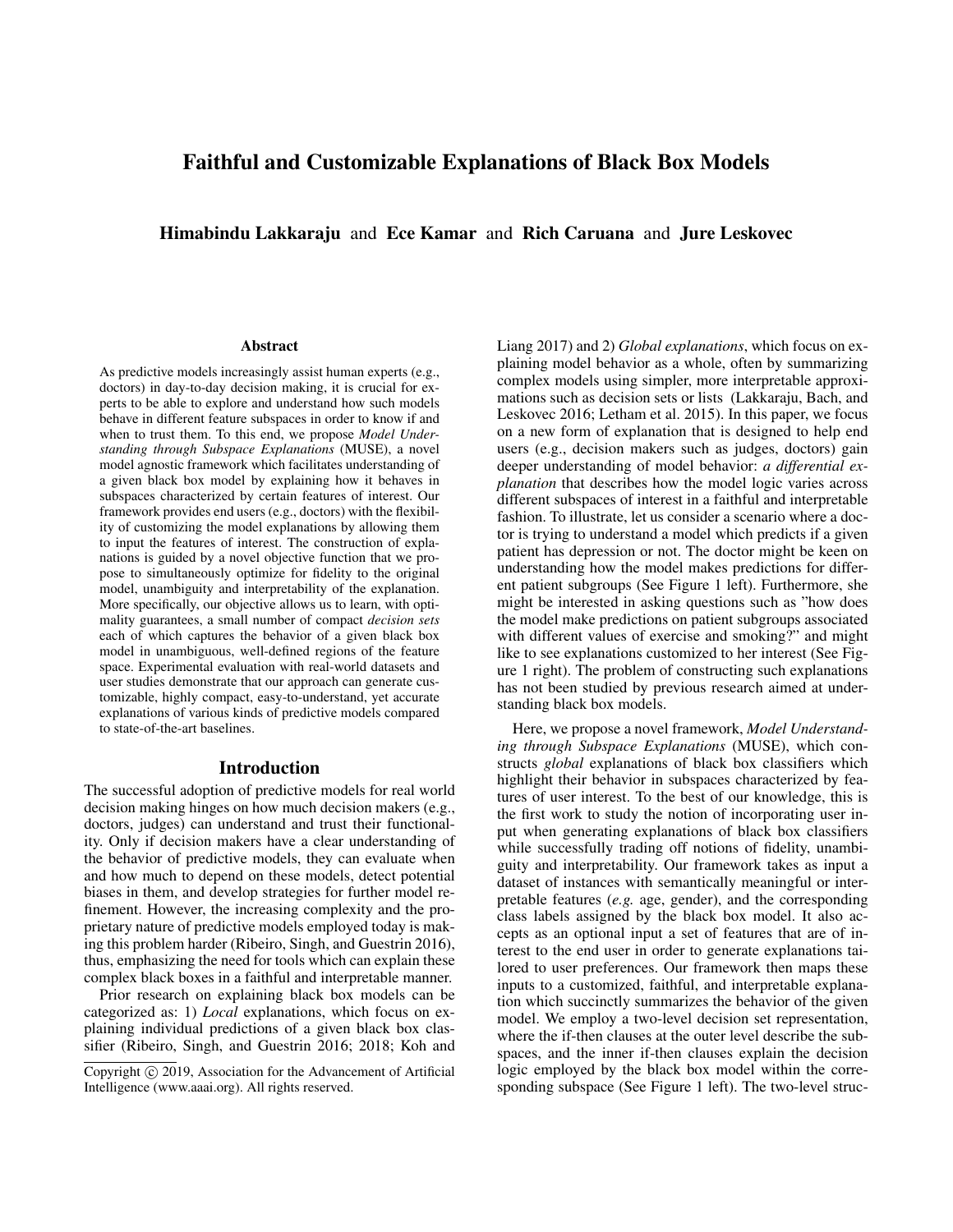# Faithful and Customizable Explanations of Black Box Models

## Himabindu Lakkaraju and Ece Kamar and Rich Caruana and Jure Leskovec

#### **Abstract**

As predictive models increasingly assist human experts (e.g., doctors) in day-to-day decision making, it is crucial for experts to be able to explore and understand how such models behave in different feature subspaces in order to know if and when to trust them. To this end, we propose *Model Understanding through Subspace Explanations* (MUSE), a novel model agnostic framework which facilitates understanding of a given black box model by explaining how it behaves in subspaces characterized by certain features of interest. Our framework provides end users (e.g., doctors) with the flexibility of customizing the model explanations by allowing them to input the features of interest. The construction of explanations is guided by a novel objective function that we propose to simultaneously optimize for fidelity to the original model, unambiguity and interpretability of the explanation. More specifically, our objective allows us to learn, with optimality guarantees, a small number of compact *decision sets* each of which captures the behavior of a given black box model in unambiguous, well-defined regions of the feature space. Experimental evaluation with real-world datasets and user studies demonstrate that our approach can generate customizable, highly compact, easy-to-understand, yet accurate explanations of various kinds of predictive models compared to state-of-the-art baselines.

## Introduction

The successful adoption of predictive models for real world decision making hinges on how much decision makers (e.g., doctors, judges) can understand and trust their functionality. Only if decision makers have a clear understanding of the behavior of predictive models, they can evaluate when and how much to depend on these models, detect potential biases in them, and develop strategies for further model refinement. However, the increasing complexity and the proprietary nature of predictive models employed today is making this problem harder (Ribeiro, Singh, and Guestrin 2016), thus, emphasizing the need for tools which can explain these complex black boxes in a faithful and interpretable manner.

Prior research on explaining black box models can be categorized as: 1) *Local* explanations, which focus on explaining individual predictions of a given black box classifier (Ribeiro, Singh, and Guestrin 2016; 2018; Koh and Liang 2017) and 2) *Global explanations*, which focus on explaining model behavior as a whole, often by summarizing complex models using simpler, more interpretable approximations such as decision sets or lists (Lakkaraju, Bach, and Leskovec 2016; Letham et al. 2015). In this paper, we focus on a new form of explanation that is designed to help end users (e.g., decision makers such as judges, doctors) gain deeper understanding of model behavior: *a differential explanation* that describes how the model logic varies across different subspaces of interest in a faithful and interpretable fashion. To illustrate, let us consider a scenario where a doctor is trying to understand a model which predicts if a given patient has depression or not. The doctor might be keen on understanding how the model makes predictions for different patient subgroups (See Figure 1 left). Furthermore, she might be interested in asking questions such as "how does the model make predictions on patient subgroups associated with different values of exercise and smoking?" and might like to see explanations customized to her interest (See Figure 1 right). The problem of constructing such explanations has not been studied by previous research aimed at understanding black box models.

Here, we propose a novel framework, *Model Understanding through Subspace Explanations* (MUSE), which constructs *global* explanations of black box classifiers which highlight their behavior in subspaces characterized by features of user interest. To the best of our knowledge, this is the first work to study the notion of incorporating user input when generating explanations of black box classifiers while successfully trading off notions of fidelity, unambiguity and interpretability. Our framework takes as input a dataset of instances with semantically meaningful or interpretable features (*e.g.* age, gender), and the corresponding class labels assigned by the black box model. It also accepts as an optional input a set of features that are of interest to the end user in order to generate explanations tailored to user preferences. Our framework then maps these inputs to a customized, faithful, and interpretable explanation which succinctly summarizes the behavior of the given model. We employ a two-level decision set representation, where the if-then clauses at the outer level describe the subspaces, and the inner if-then clauses explain the decision logic employed by the black box model within the corresponding subspace (See Figure 1 left). The two-level struc-

Copyright (c) 2019, Association for the Advancement of Artificial Intelligence (www.aaai.org). All rights reserved.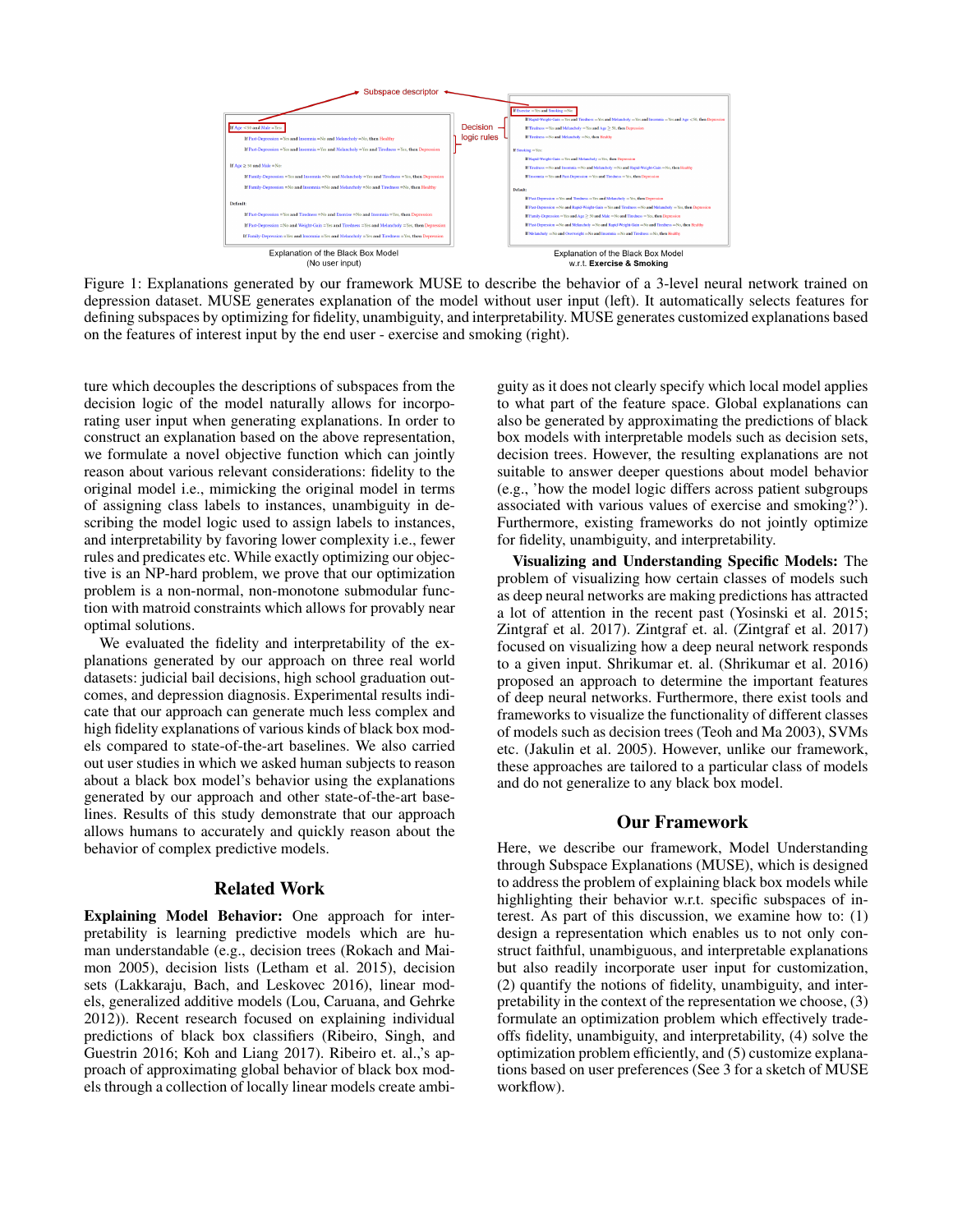

Figure 1: Explanations generated by our framework MUSE to describe the behavior of a 3-level neural network trained on depression dataset. MUSE generates explanation of the model without user input (left). It automatically selects features for defining subspaces by optimizing for fidelity, unambiguity, and interpretability. MUSE generates customized explanations based on the features of interest input by the end user - exercise and smoking (right).

ture which decouples the descriptions of subspaces from the decision logic of the model naturally allows for incorporating user input when generating explanations. In order to construct an explanation based on the above representation, we formulate a novel objective function which can jointly reason about various relevant considerations: fidelity to the original model i.e., mimicking the original model in terms of assigning class labels to instances, unambiguity in describing the model logic used to assign labels to instances, and interpretability by favoring lower complexity i.e., fewer rules and predicates etc. While exactly optimizing our objective is an NP-hard problem, we prove that our optimization problem is a non-normal, non-monotone submodular function with matroid constraints which allows for provably near optimal solutions.

We evaluated the fidelity and interpretability of the explanations generated by our approach on three real world datasets: judicial bail decisions, high school graduation outcomes, and depression diagnosis. Experimental results indicate that our approach can generate much less complex and high fidelity explanations of various kinds of black box models compared to state-of-the-art baselines. We also carried out user studies in which we asked human subjects to reason about a black box model's behavior using the explanations generated by our approach and other state-of-the-art baselines. Results of this study demonstrate that our approach allows humans to accurately and quickly reason about the behavior of complex predictive models.

## Related Work

Explaining Model Behavior: One approach for interpretability is learning predictive models which are human understandable (e.g., decision trees (Rokach and Maimon 2005), decision lists (Letham et al. 2015), decision sets (Lakkaraju, Bach, and Leskovec 2016), linear models, generalized additive models (Lou, Caruana, and Gehrke 2012)). Recent research focused on explaining individual predictions of black box classifiers (Ribeiro, Singh, and Guestrin 2016; Koh and Liang 2017). Ribeiro et. al.,'s approach of approximating global behavior of black box models through a collection of locally linear models create ambi-

guity as it does not clearly specify which local model applies to what part of the feature space. Global explanations can also be generated by approximating the predictions of black box models with interpretable models such as decision sets, decision trees. However, the resulting explanations are not suitable to answer deeper questions about model behavior (e.g., 'how the model logic differs across patient subgroups associated with various values of exercise and smoking?'). Furthermore, existing frameworks do not jointly optimize for fidelity, unambiguity, and interpretability.

Visualizing and Understanding Specific Models: The problem of visualizing how certain classes of models such as deep neural networks are making predictions has attracted a lot of attention in the recent past (Yosinski et al. 2015; Zintgraf et al. 2017). Zintgraf et. al. (Zintgraf et al. 2017) focused on visualizing how a deep neural network responds to a given input. Shrikumar et. al. (Shrikumar et al. 2016) proposed an approach to determine the important features of deep neural networks. Furthermore, there exist tools and frameworks to visualize the functionality of different classes of models such as decision trees (Teoh and Ma 2003), SVMs etc. (Jakulin et al. 2005). However, unlike our framework, these approaches are tailored to a particular class of models and do not generalize to any black box model.

### Our Framework

Here, we describe our framework, Model Understanding through Subspace Explanations (MUSE), which is designed to address the problem of explaining black box models while highlighting their behavior w.r.t. specific subspaces of interest. As part of this discussion, we examine how to: (1) design a representation which enables us to not only construct faithful, unambiguous, and interpretable explanations but also readily incorporate user input for customization, (2) quantify the notions of fidelity, unambiguity, and interpretability in the context of the representation we choose, (3) formulate an optimization problem which effectively tradeoffs fidelity, unambiguity, and interpretability, (4) solve the optimization problem efficiently, and (5) customize explanations based on user preferences (See 3 for a sketch of MUSE workflow).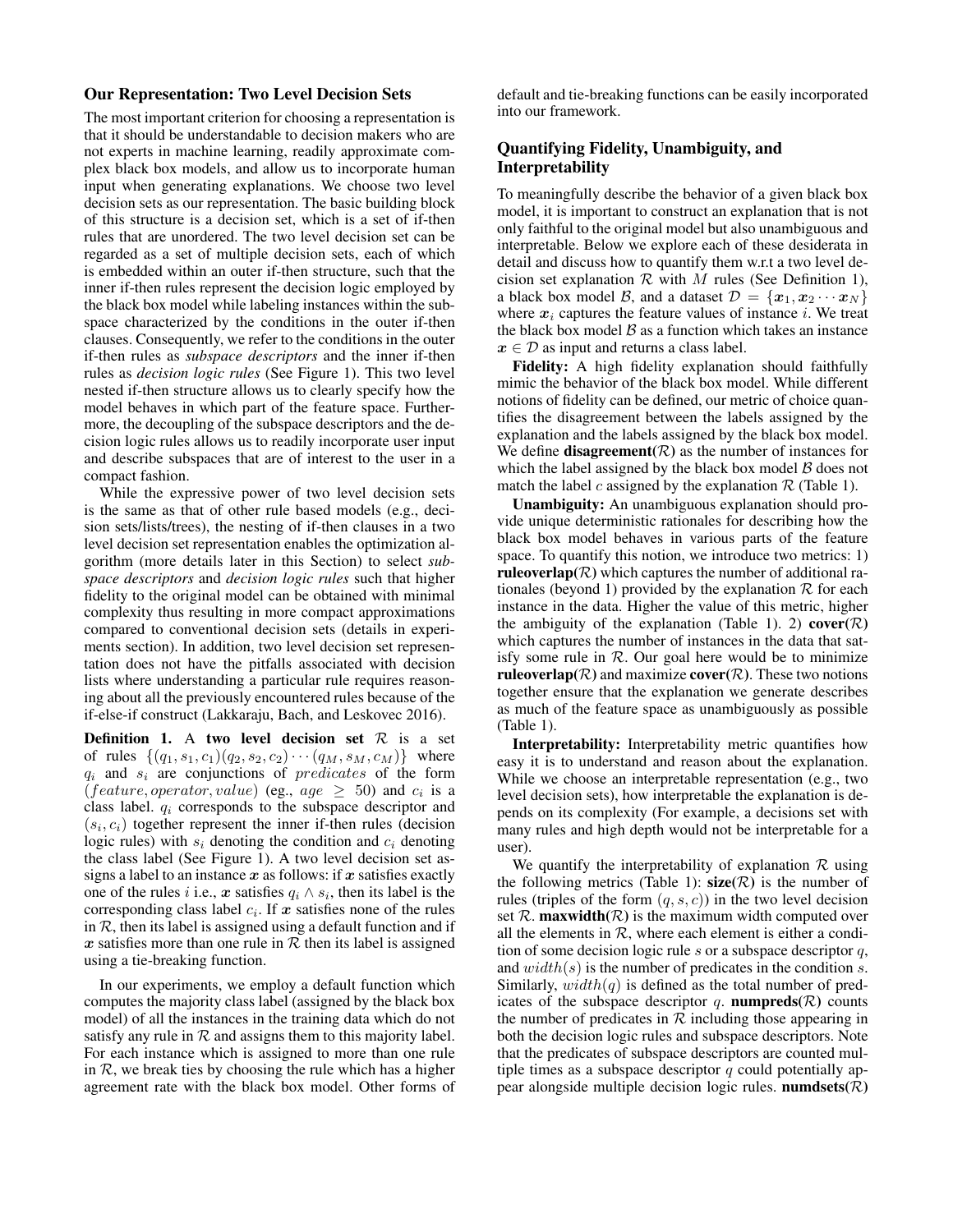## Our Representation: Two Level Decision Sets

The most important criterion for choosing a representation is that it should be understandable to decision makers who are not experts in machine learning, readily approximate complex black box models, and allow us to incorporate human input when generating explanations. We choose two level decision sets as our representation. The basic building block of this structure is a decision set, which is a set of if-then rules that are unordered. The two level decision set can be regarded as a set of multiple decision sets, each of which is embedded within an outer if-then structure, such that the inner if-then rules represent the decision logic employed by the black box model while labeling instances within the subspace characterized by the conditions in the outer if-then clauses. Consequently, we refer to the conditions in the outer if-then rules as *subspace descriptors* and the inner if-then rules as *decision logic rules* (See Figure 1). This two level nested if-then structure allows us to clearly specify how the model behaves in which part of the feature space. Furthermore, the decoupling of the subspace descriptors and the decision logic rules allows us to readily incorporate user input and describe subspaces that are of interest to the user in a compact fashion.

While the expressive power of two level decision sets is the same as that of other rule based models (e.g., decision sets/lists/trees), the nesting of if-then clauses in a two level decision set representation enables the optimization algorithm (more details later in this Section) to select *subspace descriptors* and *decision logic rules* such that higher fidelity to the original model can be obtained with minimal complexity thus resulting in more compact approximations compared to conventional decision sets (details in experiments section). In addition, two level decision set representation does not have the pitfalls associated with decision lists where understanding a particular rule requires reasoning about all the previously encountered rules because of the if-else-if construct (Lakkaraju, Bach, and Leskovec 2016).

**Definition 1.** A two level decision set  $\mathcal{R}$  is a set of rules  $\{(q_1, s_1, c_1)(q_2, s_2, c_2)\cdots(q_M, s_M, c_M)\}\$  where  $q_i$  and  $s_i$  are conjunctions of *predicates* of the form (feature, operator, value) (eg.,  $age \geq 50$ ) and  $c_i$  is a class label.  $q_i$  corresponds to the subspace descriptor and  $(s_i, c_i)$  together represent the inner if-then rules (decision logic rules) with  $s_i$  denoting the condition and  $c_i$  denoting the class label (See Figure 1). A two level decision set assigns a label to an instance  $x$  as follows: if  $x$  satisfies exactly one of the rules *i* i.e., x satisfies  $q_i \wedge s_i$ , then its label is the corresponding class label  $c_i$ . If  $\boldsymbol{x}$  satisfies none of the rules in  $R$ , then its label is assigned using a default function and if x satisfies more than one rule in  $R$  then its label is assigned using a tie-breaking function.

In our experiments, we employ a default function which computes the majority class label (assigned by the black box model) of all the instances in the training data which do not satisfy any rule in  $R$  and assigns them to this majority label. For each instance which is assigned to more than one rule in  $R$ , we break ties by choosing the rule which has a higher agreement rate with the black box model. Other forms of

default and tie-breaking functions can be easily incorporated into our framework.

## Quantifying Fidelity, Unambiguity, and Interpretability

To meaningfully describe the behavior of a given black box model, it is important to construct an explanation that is not only faithful to the original model but also unambiguous and interpretable. Below we explore each of these desiderata in detail and discuss how to quantify them w.r.t a two level decision set explanation  $R$  with  $M$  rules (See Definition 1), a black box model B, and a dataset  $\mathcal{D} = \{x_1, x_2 \cdots x_N\}$ where  $x_i$  captures the feature values of instance i. We treat the black box model  $\beta$  as a function which takes an instance  $x \in \mathcal{D}$  as input and returns a class label.

Fidelity: A high fidelity explanation should faithfully mimic the behavior of the black box model. While different notions of fidelity can be defined, our metric of choice quantifies the disagreement between the labels assigned by the explanation and the labels assigned by the black box model. We define **disagreement** $(R)$  as the number of instances for which the label assigned by the black box model  $\beta$  does not match the label  $c$  assigned by the explanation  $R$  (Table 1).

Unambiguity: An unambiguous explanation should provide unique deterministic rationales for describing how the black box model behaves in various parts of the feature space. To quantify this notion, we introduce two metrics: 1) ruleoverlap $(R)$  which captures the number of additional rationales (beyond 1) provided by the explanation  $\mathcal R$  for each instance in the data. Higher the value of this metric, higher the ambiguity of the explanation (Table 1). 2)  $cover(R)$ which captures the number of instances in the data that satisfy some rule in  $R$ . Our goal here would be to minimize ruleoverlap( $R$ ) and maximize cover( $R$ ). These two notions together ensure that the explanation we generate describes as much of the feature space as unambiguously as possible (Table 1).

Interpretability: Interpretability metric quantifies how easy it is to understand and reason about the explanation. While we choose an interpretable representation (e.g., two level decision sets), how interpretable the explanation is depends on its complexity (For example, a decisions set with many rules and high depth would not be interpretable for a user).

We quantify the interpretability of explanation  $\mathcal R$  using the following metrics (Table 1):  $size(R)$  is the number of rules (triples of the form  $(q, s, c)$ ) in the two level decision set  $\mathcal R$ . maxwidth $(\mathcal R)$  is the maximum width computed over all the elements in  $R$ , where each element is either a condition of some decision logic rule  $s$  or a subspace descriptor  $q$ , and  $width(s)$  is the number of predicates in the condition s. Similarly,  $width(q)$  is defined as the total number of predicates of the subspace descriptor q. **numpreds** $(\mathcal{R})$  counts the number of predicates in  $R$  including those appearing in both the decision logic rules and subspace descriptors. Note that the predicates of subspace descriptors are counted multiple times as a subspace descriptor  $q$  could potentially appear alongside multiple decision logic rules. **numdsets** $(\mathcal{R})$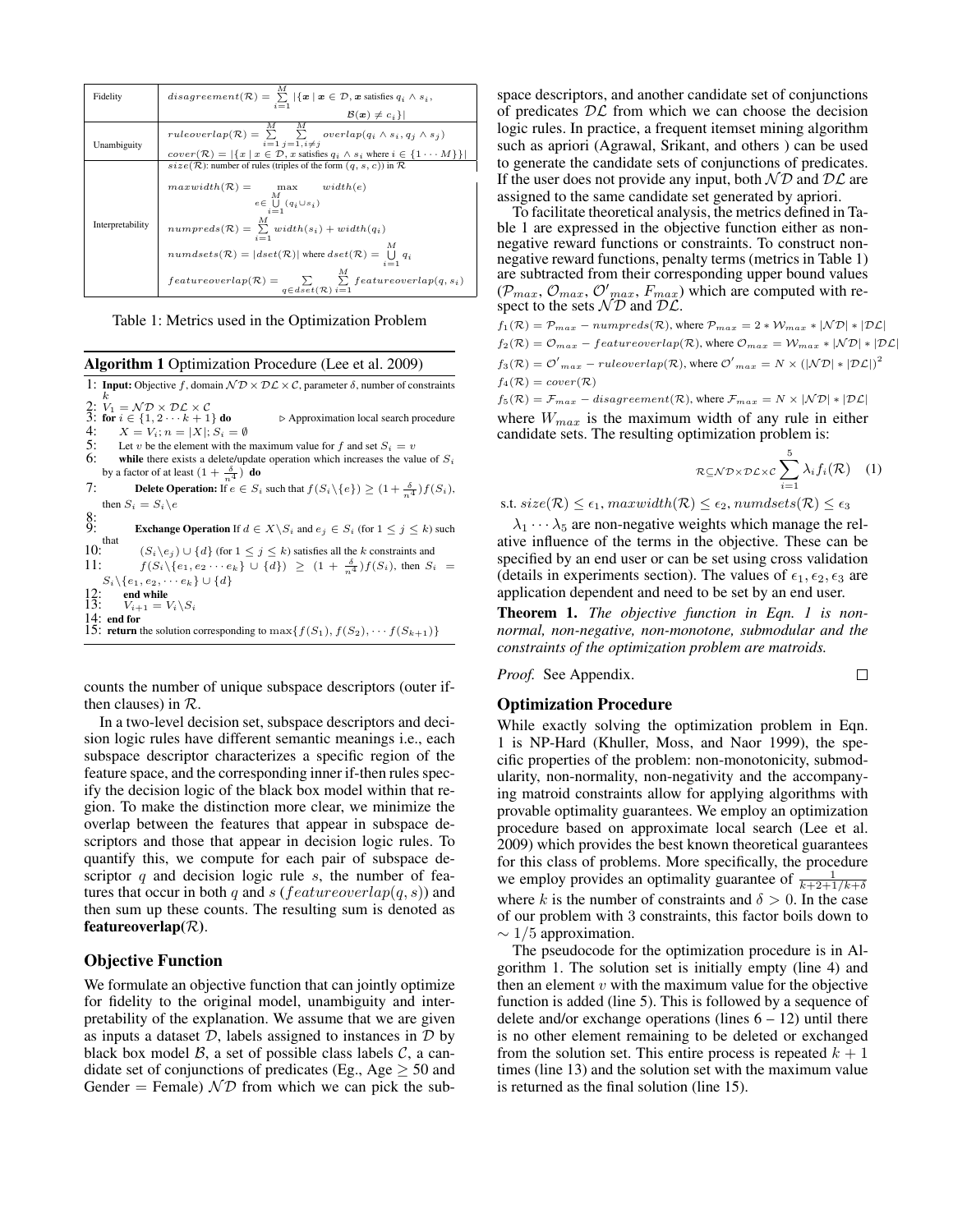| Fidelity         | $disagreement(\mathcal{R}) = \sum  \{\boldsymbol{x} \mid \boldsymbol{x} \in \mathcal{D}, \boldsymbol{x} \text{ satisfies } q_i \wedge s_i,$<br>$i - 1$                                                                                             |  |  |  |
|------------------|----------------------------------------------------------------------------------------------------------------------------------------------------------------------------------------------------------------------------------------------------|--|--|--|
|                  | $\mathcal{B}(\boldsymbol{x}) \neq c_i$ }                                                                                                                                                                                                           |  |  |  |
| Unambiguity      | М<br>М<br>$ruleoverlap(\mathcal{R}) = \sum$ $overlap(q_i \wedge s_i, q_j \wedge s_j)$<br>$i=1$ $i=1$ , $i\neq i$<br>$cover(\mathcal{R}) =  \{x \mid x \in \mathcal{D}, x \text{ satisfies } q_i \wedge s_i \text{ where } i \in \{1 \cdots M\}\} $ |  |  |  |
| Interpretability | $size(\mathcal{R})$ : number of rules (triples of the form $(q, s, c)$ ) in $\mathcal{R}$                                                                                                                                                          |  |  |  |
|                  | $maxwidth(R) = \max$ width(e)<br>$e \in \bigcup^M (q_i \cup s_i)$<br>$i=1$                                                                                                                                                                         |  |  |  |
|                  | $\textit{numpreds}(\mathcal{R}) = \sum_{i=1}^{n} \textit{width}(s_i) + \textit{width}(q_i)$<br>$i - 1$                                                                                                                                             |  |  |  |
|                  | М<br>$numdests(\mathcal{R}) =  dest(\mathcal{R}) $ where $dest(\mathcal{R}) = \bigcup q_i$                                                                                                                                                         |  |  |  |
|                  | М<br>featureoverlap(R) = $\sum_{n=1}^{\infty}$ featureoverlap(q, s <sub>i</sub> )<br>$q \in dest(\mathcal{R}) i=1$                                                                                                                                 |  |  |  |

Table 1: Metrics used in the Optimization Problem

#### Algorithm 1 Optimization Procedure (Lee et al. 2009)

1: Input: Objective f, domain  $\mathcal{ND} \times \mathcal{DL} \times \mathcal{C}$ , parameter  $\delta$ , number of constraints 2:  $V_1 = \mathcal{N} \mathcal{D} \times \mathcal{D} \mathcal{L} \times \mathcal{C}$ 3: for  $i \in \{1, 2 \cdots k+1\}$  do .  $\triangleright$  Approximation local search procedure 4:  $X = V_i$ ;  $n = |X|$ ;  $S_i = \emptyset$ 4:  $X = V_i; n = |X|; S_i = \emptyset$ <br>5. Let *y* be the element with the 5: Let v be the element with the maximum value for f and set  $S_i = v$ <br>6: while there exists a delete/update operation which increases the value while there exists a delete/update operation which increases the value of  $S_i$ by a factor of at least  $(1 + \frac{\delta}{n^4})$  **do** 7: **Delete Operation:** If  $e \in S_i$  such that  $f(S_i \setminus \{e\}) \geq (1 + \frac{\delta}{n^4}) f(S_i)$ , then  $S_i = S_i \backslash e$ 8: **Exchange Operation** If  $d \in X \backslash S_i$  and  $e_j \in S_i$  (for  $1 \leq j \leq k$ ) such  $10<sup>that</sup>$  $(S_i\backslash e_j) \cup \{d\}$  (for  $1 \leq j \leq k$ ) satisfies all the k constraints and 11:  $f(S_i \setminus \{e_1, e_2 \cdots e_k\} \cup \{d\}) \geq (1 + \frac{\delta}{n^4}) f(S_i)$ , then  $S_i =$  $S_i \setminus \{e_1, e_2, \cdots e_k\} \cup \{d\}$ 12: end while<br>13:  $V_{i+1} = V_i$  $V_{i+1} = V_i \backslash S_i$ 14: end for 15: return the solution corresponding to  $\max\{f(S_1), f(S_2), \cdots f(S_{k+1})\}$ 

counts the number of unique subspace descriptors (outer ifthen clauses) in  $\mathcal{R}$ .

In a two-level decision set, subspace descriptors and decision logic rules have different semantic meanings i.e., each subspace descriptor characterizes a specific region of the feature space, and the corresponding inner if-then rules specify the decision logic of the black box model within that region. To make the distinction more clear, we minimize the overlap between the features that appear in subspace descriptors and those that appear in decision logic rules. To quantify this, we compute for each pair of subspace descriptor  $q$  and decision logic rule  $s$ , the number of features that occur in both q and s ( $featureoverlap(q, s)$ ) and then sum up these counts. The resulting sum is denoted as featureoverlap $(R)$ .

#### Objective Function

We formulate an objective function that can jointly optimize for fidelity to the original model, unambiguity and interpretability of the explanation. We assume that we are given as inputs a dataset  $D$ , labels assigned to instances in  $D$  by black box model  $\beta$ , a set of possible class labels  $\mathcal{C}$ , a candidate set of conjunctions of predicates (Eg., Age  $\geq$  50 and Gender = Female)  $ND$  from which we can pick the subspace descriptors, and another candidate set of conjunctions of predicates  $D\mathcal{L}$  from which we can choose the decision logic rules. In practice, a frequent itemset mining algorithm such as apriori (Agrawal, Srikant, and others ) can be used to generate the candidate sets of conjunctions of predicates. If the user does not provide any input, both  $\mathcal{ND}$  and  $\mathcal{DL}$  are assigned to the same candidate set generated by apriori.

To facilitate theoretical analysis, the metrics defined in Table 1 are expressed in the objective function either as nonnegative reward functions or constraints. To construct nonnegative reward functions, penalty terms (metrics in Table 1) are subtracted from their corresponding upper bound values  $(\mathcal{P}_{max}, \mathcal{O}_{max}, \mathcal{O}'_{max}, F_{max})$  which are computed with respect to the sets  $\mathcal{N}D$  and  $\mathcal{DL}$ .

 $f_1(\mathcal{R}) = \mathcal{P}_{max} - \text{numpreds}(\mathcal{R})$ , where  $\mathcal{P}_{max} = 2 * \mathcal{W}_{max} * |\mathcal{ND}| * |\mathcal{DL}|$  $f_2(\mathcal{R}) = \mathcal{O}_{max} - feature overlap(\mathcal{R})$ , where  $\mathcal{O}_{max} = \mathcal{W}_{max} * |\mathcal{ND}| * |\mathcal{DL}|$  $f_3(\mathcal{R}) = \mathcal{O'}_{max} - ruleoverlap(\mathcal{R}),$  where  $\mathcal{O'}_{max} = N \times (\vert \mathcal{N} \mathcal{D} \vert * \vert \mathcal{D} \mathcal{L} \vert)^2$  $f_4(\mathcal{R}) = cover(\mathcal{R})$ 

 $f_5(\mathcal{R})=\mathcal{F}_{max}-disagreement(\mathcal{R}),$  where  $\mathcal{F}_{max}=N\times |\mathcal{ND}|*|\mathcal{DL}|$ where  $W_{max}$  is the maximum width of any rule in either candidate sets. The resulting optimization problem is:

$$
\mathcal{R}\subseteq \mathcal{ND}\times\mathcal{DL}\times\mathcal{C}\sum_{i=1}^{5}\lambda_{i}f_{i}(\mathcal{R})\quad(1)
$$

s.t.  $size(\mathcal{R}) \leq \epsilon_1$ ,  $maxwidth(\mathcal{R}) \leq \epsilon_2$ ,  $numdests(\mathcal{R}) \leq \epsilon_3$ 

 $\lambda_1 \cdots \lambda_5$  are non-negative weights which manage the relative influence of the terms in the objective. These can be specified by an end user or can be set using cross validation (details in experiments section). The values of  $\epsilon_1, \epsilon_2, \epsilon_3$  are application dependent and need to be set by an end user.

Theorem 1. *The objective function in Eqn. 1 is nonnormal, non-negative, non-monotone, submodular and the constraints of the optimization problem are matroids.*

*Proof.* See Appendix. 
$$
\Box
$$

### Optimization Procedure

While exactly solving the optimization problem in Eqn. 1 is NP-Hard (Khuller, Moss, and Naor 1999), the specific properties of the problem: non-monotonicity, submodularity, non-normality, non-negativity and the accompanying matroid constraints allow for applying algorithms with provable optimality guarantees. We employ an optimization procedure based on approximate local search (Lee et al. 2009) which provides the best known theoretical guarantees for this class of problems. More specifically, the procedure we employ provides an optimality guarantee of  $\frac{1}{k+2+1/k+\delta}$ where k is the number of constraints and  $\delta > 0$ . In the case of our problem with 3 constraints, this factor boils down to  $∼ 1/5$  approximation.

The pseudocode for the optimization procedure is in Algorithm 1. The solution set is initially empty (line 4) and then an element  $v$  with the maximum value for the objective function is added (line 5). This is followed by a sequence of delete and/or exchange operations (lines  $6 - 12$ ) until there is no other element remaining to be deleted or exchanged from the solution set. This entire process is repeated  $k + 1$ times (line 13) and the solution set with the maximum value is returned as the final solution (line 15).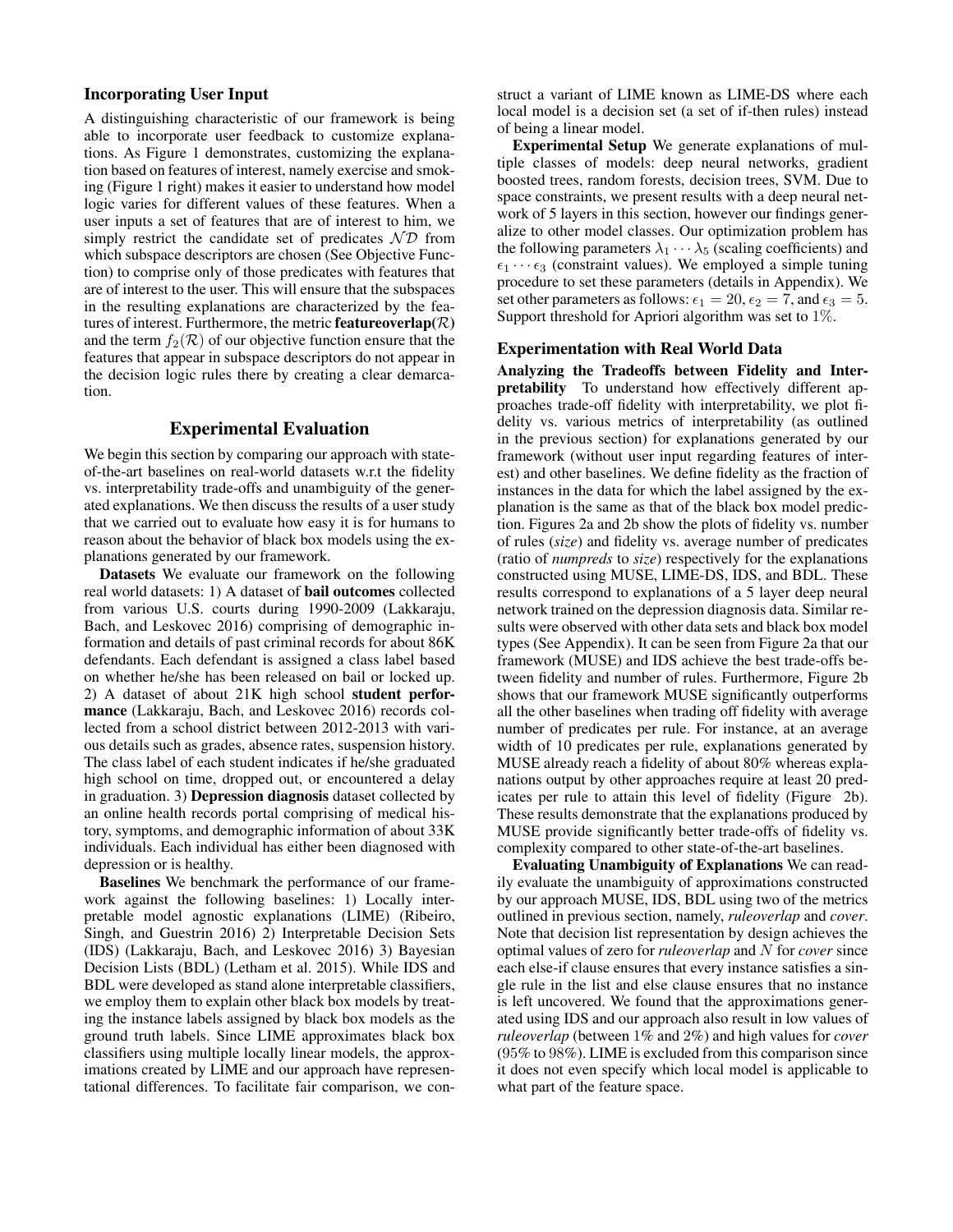## Incorporating User Input

A distinguishing characteristic of our framework is being able to incorporate user feedback to customize explanations. As Figure 1 demonstrates, customizing the explanation based on features of interest, namely exercise and smoking (Figure 1 right) makes it easier to understand how model logic varies for different values of these features. When a user inputs a set of features that are of interest to him, we simply restrict the candidate set of predicates  $\mathcal{ND}$  from which subspace descriptors are chosen (See Objective Function) to comprise only of those predicates with features that are of interest to the user. This will ensure that the subspaces in the resulting explanations are characterized by the features of interest. Furthermore, the metric **featureoverlap** $(\mathcal{R})$ and the term  $f_2(\mathcal{R})$  of our objective function ensure that the features that appear in subspace descriptors do not appear in the decision logic rules there by creating a clear demarcation.

### Experimental Evaluation

We begin this section by comparing our approach with stateof-the-art baselines on real-world datasets w.r.t the fidelity vs. interpretability trade-offs and unambiguity of the generated explanations. We then discuss the results of a user study that we carried out to evaluate how easy it is for humans to reason about the behavior of black box models using the explanations generated by our framework.

Datasets We evaluate our framework on the following real world datasets: 1) A dataset of bail outcomes collected from various U.S. courts during 1990-2009 (Lakkaraju, Bach, and Leskovec 2016) comprising of demographic information and details of past criminal records for about 86K defendants. Each defendant is assigned a class label based on whether he/she has been released on bail or locked up. 2) A dataset of about 21K high school student performance (Lakkaraju, Bach, and Leskovec 2016) records collected from a school district between 2012-2013 with various details such as grades, absence rates, suspension history. The class label of each student indicates if he/she graduated high school on time, dropped out, or encountered a delay in graduation. 3) Depression diagnosis dataset collected by an online health records portal comprising of medical history, symptoms, and demographic information of about 33K individuals. Each individual has either been diagnosed with depression or is healthy.

Baselines We benchmark the performance of our framework against the following baselines: 1) Locally interpretable model agnostic explanations (LIME) (Ribeiro, Singh, and Guestrin 2016) 2) Interpretable Decision Sets (IDS) (Lakkaraju, Bach, and Leskovec 2016) 3) Bayesian Decision Lists (BDL) (Letham et al. 2015). While IDS and BDL were developed as stand alone interpretable classifiers, we employ them to explain other black box models by treating the instance labels assigned by black box models as the ground truth labels. Since LIME approximates black box classifiers using multiple locally linear models, the approximations created by LIME and our approach have representational differences. To facilitate fair comparison, we con-

struct a variant of LIME known as LIME-DS where each local model is a decision set (a set of if-then rules) instead of being a linear model.

Experimental Setup We generate explanations of multiple classes of models: deep neural networks, gradient boosted trees, random forests, decision trees, SVM. Due to space constraints, we present results with a deep neural network of 5 layers in this section, however our findings generalize to other model classes. Our optimization problem has the following parameters  $\lambda_1 \cdots \lambda_5$  (scaling coefficients) and  $\epsilon_1 \cdots \epsilon_3$  (constraint values). We employed a simple tuning procedure to set these parameters (details in Appendix). We set other parameters as follows:  $\epsilon_1 = 20$ ,  $\epsilon_2 = 7$ , and  $\epsilon_3 = 5$ . Support threshold for Apriori algorithm was set to 1%.

#### Experimentation with Real World Data

Analyzing the Tradeoffs between Fidelity and Interpretability To understand how effectively different approaches trade-off fidelity with interpretability, we plot fidelity vs. various metrics of interpretability (as outlined in the previous section) for explanations generated by our framework (without user input regarding features of interest) and other baselines. We define fidelity as the fraction of instances in the data for which the label assigned by the explanation is the same as that of the black box model prediction. Figures 2a and 2b show the plots of fidelity vs. number of rules (*size*) and fidelity vs. average number of predicates (ratio of *numpreds* to *size*) respectively for the explanations constructed using MUSE, LIME-DS, IDS, and BDL. These results correspond to explanations of a 5 layer deep neural network trained on the depression diagnosis data. Similar results were observed with other data sets and black box model types (See Appendix). It can be seen from Figure 2a that our framework (MUSE) and IDS achieve the best trade-offs between fidelity and number of rules. Furthermore, Figure 2b shows that our framework MUSE significantly outperforms all the other baselines when trading off fidelity with average number of predicates per rule. For instance, at an average width of 10 predicates per rule, explanations generated by MUSE already reach a fidelity of about 80% whereas explanations output by other approaches require at least 20 predicates per rule to attain this level of fidelity (Figure 2b). These results demonstrate that the explanations produced by MUSE provide significantly better trade-offs of fidelity vs. complexity compared to other state-of-the-art baselines.

Evaluating Unambiguity of Explanations We can readily evaluate the unambiguity of approximations constructed by our approach MUSE, IDS, BDL using two of the metrics outlined in previous section, namely, *ruleoverlap* and *cover*. Note that decision list representation by design achieves the optimal values of zero for *ruleoverlap* and N for *cover* since each else-if clause ensures that every instance satisfies a single rule in the list and else clause ensures that no instance is left uncovered. We found that the approximations generated using IDS and our approach also result in low values of *ruleoverlap* (between 1% and 2%) and high values for *cover* (95% to 98%). LIME is excluded from this comparison since it does not even specify which local model is applicable to what part of the feature space.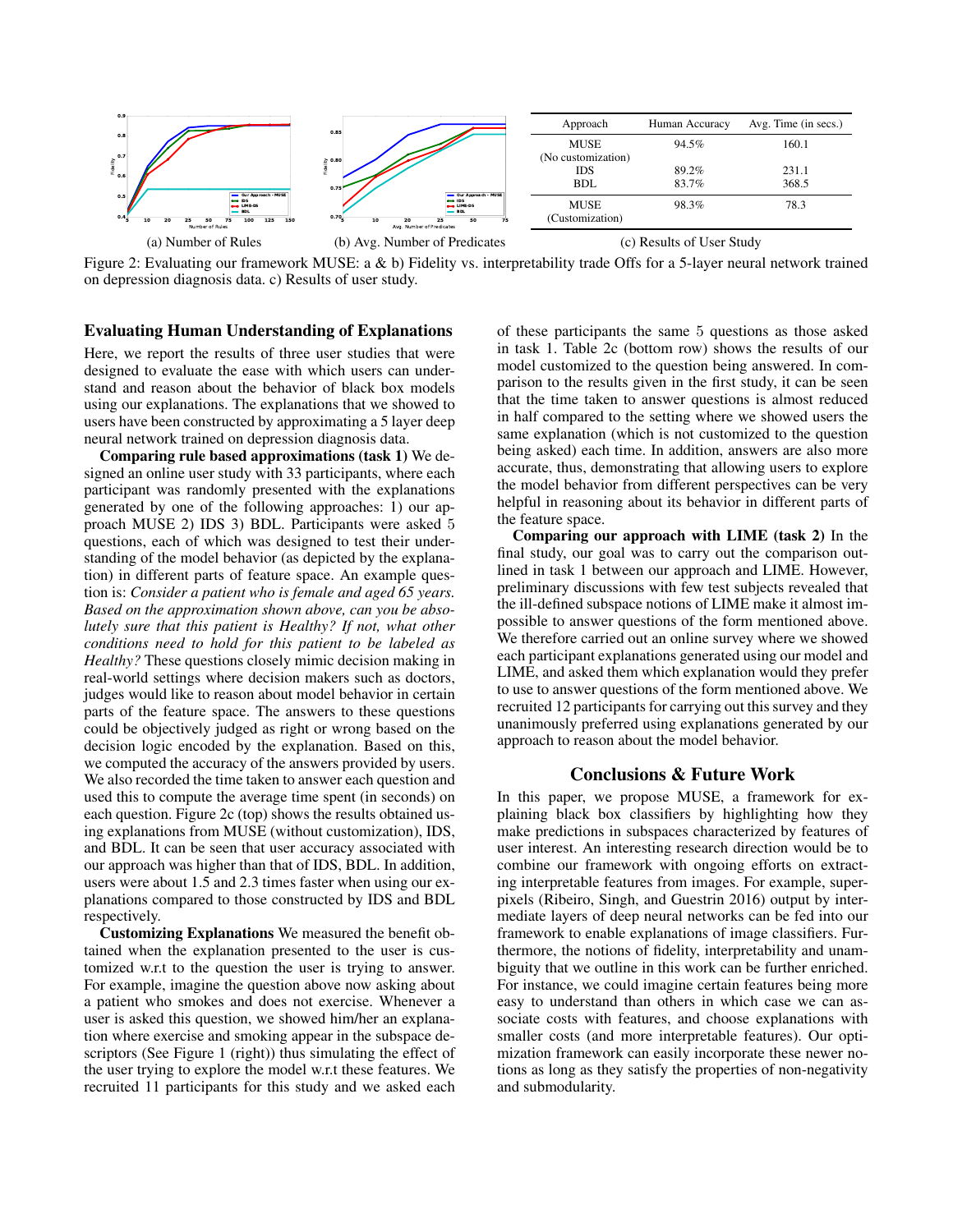

Figure 2: Evaluating our framework MUSE: a & b) Fidelity vs. interpretability trade Offs for a 5-layer neural network trained on depression diagnosis data. c) Results of user study.

### Evaluating Human Understanding of Explanations

Here, we report the results of three user studies that were designed to evaluate the ease with which users can understand and reason about the behavior of black box models using our explanations. The explanations that we showed to users have been constructed by approximating a 5 layer deep neural network trained on depression diagnosis data.

Comparing rule based approximations (task 1) We designed an online user study with 33 participants, where each participant was randomly presented with the explanations generated by one of the following approaches: 1) our approach MUSE 2) IDS 3) BDL. Participants were asked 5 questions, each of which was designed to test their understanding of the model behavior (as depicted by the explanation) in different parts of feature space. An example question is: *Consider a patient who is female and aged 65 years. Based on the approximation shown above, can you be absolutely sure that this patient is Healthy? If not, what other conditions need to hold for this patient to be labeled as Healthy?* These questions closely mimic decision making in real-world settings where decision makers such as doctors, judges would like to reason about model behavior in certain parts of the feature space. The answers to these questions could be objectively judged as right or wrong based on the decision logic encoded by the explanation. Based on this, we computed the accuracy of the answers provided by users. We also recorded the time taken to answer each question and used this to compute the average time spent (in seconds) on each question. Figure 2c (top) shows the results obtained using explanations from MUSE (without customization), IDS, and BDL. It can be seen that user accuracy associated with our approach was higher than that of IDS, BDL. In addition, users were about 1.5 and 2.3 times faster when using our explanations compared to those constructed by IDS and BDL respectively.

Customizing Explanations We measured the benefit obtained when the explanation presented to the user is customized w.r.t to the question the user is trying to answer. For example, imagine the question above now asking about a patient who smokes and does not exercise. Whenever a user is asked this question, we showed him/her an explanation where exercise and smoking appear in the subspace descriptors (See Figure 1 (right)) thus simulating the effect of the user trying to explore the model w.r.t these features. We recruited 11 participants for this study and we asked each of these participants the same 5 questions as those asked in task 1. Table 2c (bottom row) shows the results of our model customized to the question being answered. In comparison to the results given in the first study, it can be seen that the time taken to answer questions is almost reduced in half compared to the setting where we showed users the same explanation (which is not customized to the question being asked) each time. In addition, answers are also more accurate, thus, demonstrating that allowing users to explore the model behavior from different perspectives can be very helpful in reasoning about its behavior in different parts of the feature space.

Comparing our approach with LIME (task 2) In the final study, our goal was to carry out the comparison outlined in task 1 between our approach and LIME. However, preliminary discussions with few test subjects revealed that the ill-defined subspace notions of LIME make it almost impossible to answer questions of the form mentioned above. We therefore carried out an online survey where we showed each participant explanations generated using our model and LIME, and asked them which explanation would they prefer to use to answer questions of the form mentioned above. We recruited 12 participants for carrying out this survey and they unanimously preferred using explanations generated by our approach to reason about the model behavior.

#### Conclusions & Future Work

In this paper, we propose MUSE, a framework for explaining black box classifiers by highlighting how they make predictions in subspaces characterized by features of user interest. An interesting research direction would be to combine our framework with ongoing efforts on extracting interpretable features from images. For example, superpixels (Ribeiro, Singh, and Guestrin 2016) output by intermediate layers of deep neural networks can be fed into our framework to enable explanations of image classifiers. Furthermore, the notions of fidelity, interpretability and unambiguity that we outline in this work can be further enriched. For instance, we could imagine certain features being more easy to understand than others in which case we can associate costs with features, and choose explanations with smaller costs (and more interpretable features). Our optimization framework can easily incorporate these newer notions as long as they satisfy the properties of non-negativity and submodularity.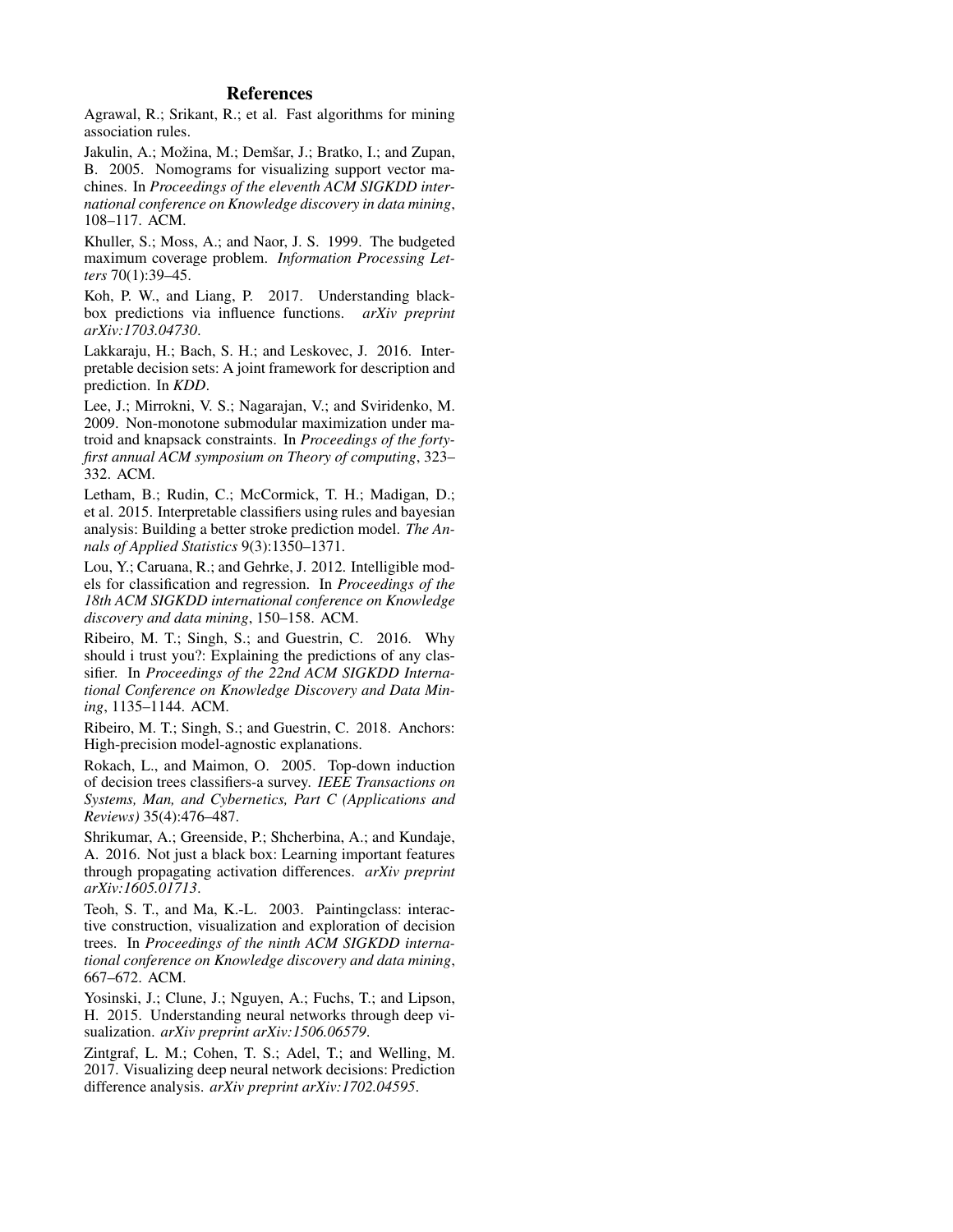## References

Agrawal, R.; Srikant, R.; et al. Fast algorithms for mining association rules.

Jakulin, A.; Možina, M.; Demšar, J.; Bratko, I.; and Zupan, B. 2005. Nomograms for visualizing support vector machines. In *Proceedings of the eleventh ACM SIGKDD international conference on Knowledge discovery in data mining*, 108–117. ACM.

Khuller, S.; Moss, A.; and Naor, J. S. 1999. The budgeted maximum coverage problem. *Information Processing Letters* 70(1):39–45.

Koh, P. W., and Liang, P. 2017. Understanding blackbox predictions via influence functions. *arXiv preprint arXiv:1703.04730*.

Lakkaraju, H.; Bach, S. H.; and Leskovec, J. 2016. Interpretable decision sets: A joint framework for description and prediction. In *KDD*.

Lee, J.; Mirrokni, V. S.; Nagarajan, V.; and Sviridenko, M. 2009. Non-monotone submodular maximization under matroid and knapsack constraints. In *Proceedings of the fortyfirst annual ACM symposium on Theory of computing*, 323– 332. ACM.

Letham, B.; Rudin, C.; McCormick, T. H.; Madigan, D.; et al. 2015. Interpretable classifiers using rules and bayesian analysis: Building a better stroke prediction model. *The Annals of Applied Statistics* 9(3):1350–1371.

Lou, Y.; Caruana, R.; and Gehrke, J. 2012. Intelligible models for classification and regression. In *Proceedings of the 18th ACM SIGKDD international conference on Knowledge discovery and data mining*, 150–158. ACM.

Ribeiro, M. T.; Singh, S.; and Guestrin, C. 2016. Why should i trust you?: Explaining the predictions of any classifier. In *Proceedings of the 22nd ACM SIGKDD International Conference on Knowledge Discovery and Data Mining*, 1135–1144. ACM.

Ribeiro, M. T.; Singh, S.; and Guestrin, C. 2018. Anchors: High-precision model-agnostic explanations.

Rokach, L., and Maimon, O. 2005. Top-down induction of decision trees classifiers-a survey. *IEEE Transactions on Systems, Man, and Cybernetics, Part C (Applications and Reviews)* 35(4):476–487.

Shrikumar, A.; Greenside, P.; Shcherbina, A.; and Kundaje, A. 2016. Not just a black box: Learning important features through propagating activation differences. *arXiv preprint arXiv:1605.01713*.

Teoh, S. T., and Ma, K.-L. 2003. Paintingclass: interactive construction, visualization and exploration of decision trees. In *Proceedings of the ninth ACM SIGKDD international conference on Knowledge discovery and data mining*, 667–672. ACM.

Yosinski, J.; Clune, J.; Nguyen, A.; Fuchs, T.; and Lipson, H. 2015. Understanding neural networks through deep visualization. *arXiv preprint arXiv:1506.06579*.

Zintgraf, L. M.; Cohen, T. S.; Adel, T.; and Welling, M. 2017. Visualizing deep neural network decisions: Prediction difference analysis. *arXiv preprint arXiv:1702.04595*.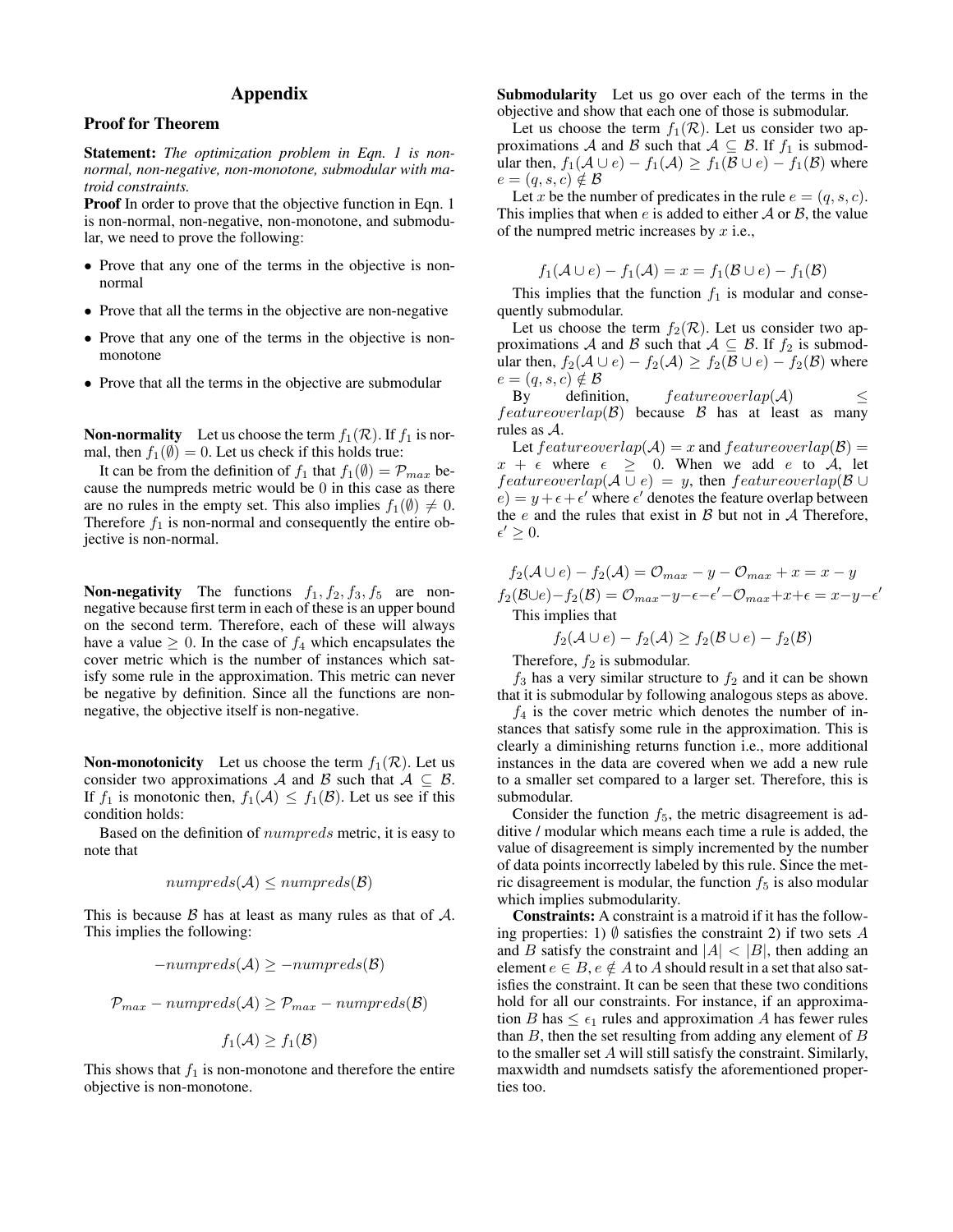## Appendix

### Proof for Theorem

Statement: *The optimization problem in Eqn. 1 is nonnormal, non-negative, non-monotone, submodular with matroid constraints.*

Proof In order to prove that the objective function in Eqn. 1 is non-normal, non-negative, non-monotone, and submodular, we need to prove the following:

- Prove that any one of the terms in the objective is nonnormal
- Prove that all the terms in the objective are non-negative
- Prove that any one of the terms in the objective is nonmonotone
- Prove that all the terms in the objective are submodular

**Non-normality** Let us choose the term  $f_1(\mathcal{R})$ . If  $f_1$  is normal, then  $f_1(\emptyset) = 0$ . Let us check if this holds true:

It can be from the definition of  $f_1$  that  $f_1(\emptyset) = \mathcal{P}_{max}$  because the numpreds metric would be 0 in this case as there are no rules in the empty set. This also implies  $f_1(\emptyset) \neq 0$ . Therefore  $f_1$  is non-normal and consequently the entire objective is non-normal.

**Non-negativity** The functions  $f_1, f_2, f_3, f_5$  are nonnegative because first term in each of these is an upper bound on the second term. Therefore, each of these will always have a value  $\geq 0$ . In the case of  $f_4$  which encapsulates the cover metric which is the number of instances which satisfy some rule in the approximation. This metric can never be negative by definition. Since all the functions are nonnegative, the objective itself is non-negative.

**Non-monotonicity** Let us choose the term  $f_1(\mathcal{R})$ . Let us consider two approximations A and B such that  $A \subseteq B$ . If  $f_1$  is monotonic then,  $f_1(\mathcal{A}) \leq f_1(\mathcal{B})$ . Let us see if this condition holds:

Based on the definition of *numpreds* metric, it is easy to note that

$$
numpreds(\mathcal{A}) \leq numpreds(\mathcal{B})
$$

This is because  $\beta$  has at least as many rules as that of  $\mathcal{A}$ . This implies the following:

$$
-numpreds(A) \ge -numpreds(B)
$$
  

$$
\mathcal{P}_{max} - numpreds(A) \ge \mathcal{P}_{max} - numpreds(B)
$$
  

$$
f_1(A) \ge f_1(B)
$$

This shows that  $f_1$  is non-monotone and therefore the entire objective is non-monotone.

Submodularity Let us go over each of the terms in the objective and show that each one of those is submodular.

Let us choose the term  $f_1(\mathcal{R})$ . Let us consider two approximations A and B such that  $A \subseteq B$ . If  $f_1$  is submodular then,  $f_1(\mathcal{A} \cup e) - f_1(\mathcal{A}) \ge f_1(\mathcal{B} \cup e) - f_1(\mathcal{B})$  where  $e = (q, s, c) \notin \mathcal{B}$ 

Let x be the number of predicates in the rule  $e = (q, s, c)$ . This implies that when  $e$  is added to either  $\mathcal A$  or  $\mathcal B$ , the value of the numpred metric increases by  $x$  i.e.,

$$
f_1(\mathcal{A} \cup e) - f_1(\mathcal{A}) = x = f_1(\mathcal{B} \cup e) - f_1(\mathcal{B})
$$

This implies that the function  $f_1$  is modular and consequently submodular.

Let us choose the term  $f_2(\mathcal{R})$ . Let us consider two approximations A and B such that  $A \subseteq B$ . If  $f_2$  is submodular then,  $f_2(\mathcal{A} \cup e) - f_2(\mathcal{A}) \ge f_2(\mathcal{B} \cup e) - f_2(\mathcal{B})$  where  $e = (q, s, c) \notin \mathcal{B}$ 

By definition,  $featureoverlap(\mathcal{A}) \leq$  $featureoverlap(B)$  because B has at least as many rules as A.

Let  $featureoverlap(\mathcal{A}) = x$  and  $featureoverlap(\mathcal{B}) =$  $x + \epsilon$  where  $\epsilon \geq 0$ . When we add e to A, let  $featureoverlap(A \cup e) = y$ , then  $featureoverlap(B \cup$  $e$ ) =  $y + \epsilon + \epsilon'$  where  $\epsilon'$  denotes the feature overlap between the  $e$  and the rules that exist in  $\beta$  but not in  $\mathcal A$  Therefore,  $\epsilon' \geq 0.$ 

$$
f_2(\mathcal{A} \cup e) - f_2(\mathcal{A}) = \mathcal{O}_{max} - y - \mathcal{O}_{max} + x = x - y
$$
  
\n
$$
f_2(\mathcal{B} \cup e) - f_2(\mathcal{B}) = \mathcal{O}_{max} - y - \epsilon - \epsilon' - \mathcal{O}_{max} + x + \epsilon = x - y - \epsilon'
$$
  
\nThis implies that

$$
f_2(\mathcal{A} \cup e) - f_2(\mathcal{A}) \ge f_2(\mathcal{B} \cup e) - f_2(\mathcal{B})
$$

Therefore,  $f_2$  is submodular.

 $f_3$  has a very similar structure to  $f_2$  and it can be shown that it is submodular by following analogous steps as above.

 $f_4$  is the cover metric which denotes the number of instances that satisfy some rule in the approximation. This is clearly a diminishing returns function i.e., more additional instances in the data are covered when we add a new rule to a smaller set compared to a larger set. Therefore, this is submodular.

Consider the function  $f_5$ , the metric disagreement is additive / modular which means each time a rule is added, the value of disagreement is simply incremented by the number of data points incorrectly labeled by this rule. Since the metric disagreement is modular, the function  $f_5$  is also modular which implies submodularity.

Constraints: A constraint is a matroid if it has the following properties: 1)  $\emptyset$  satisfies the constraint 2) if two sets A and B satisfy the constraint and  $|A| < |B|$ , then adding an element  $e \in B$ ,  $e \notin A$  to A should result in a set that also satisfies the constraint. It can be seen that these two conditions hold for all our constraints. For instance, if an approximation B has  $\leq \epsilon_1$  rules and approximation A has fewer rules than  $B$ , then the set resulting from adding any element of  $B$ to the smaller set  $A$  will still satisfy the constraint. Similarly, maxwidth and numdsets satisfy the aforementioned properties too.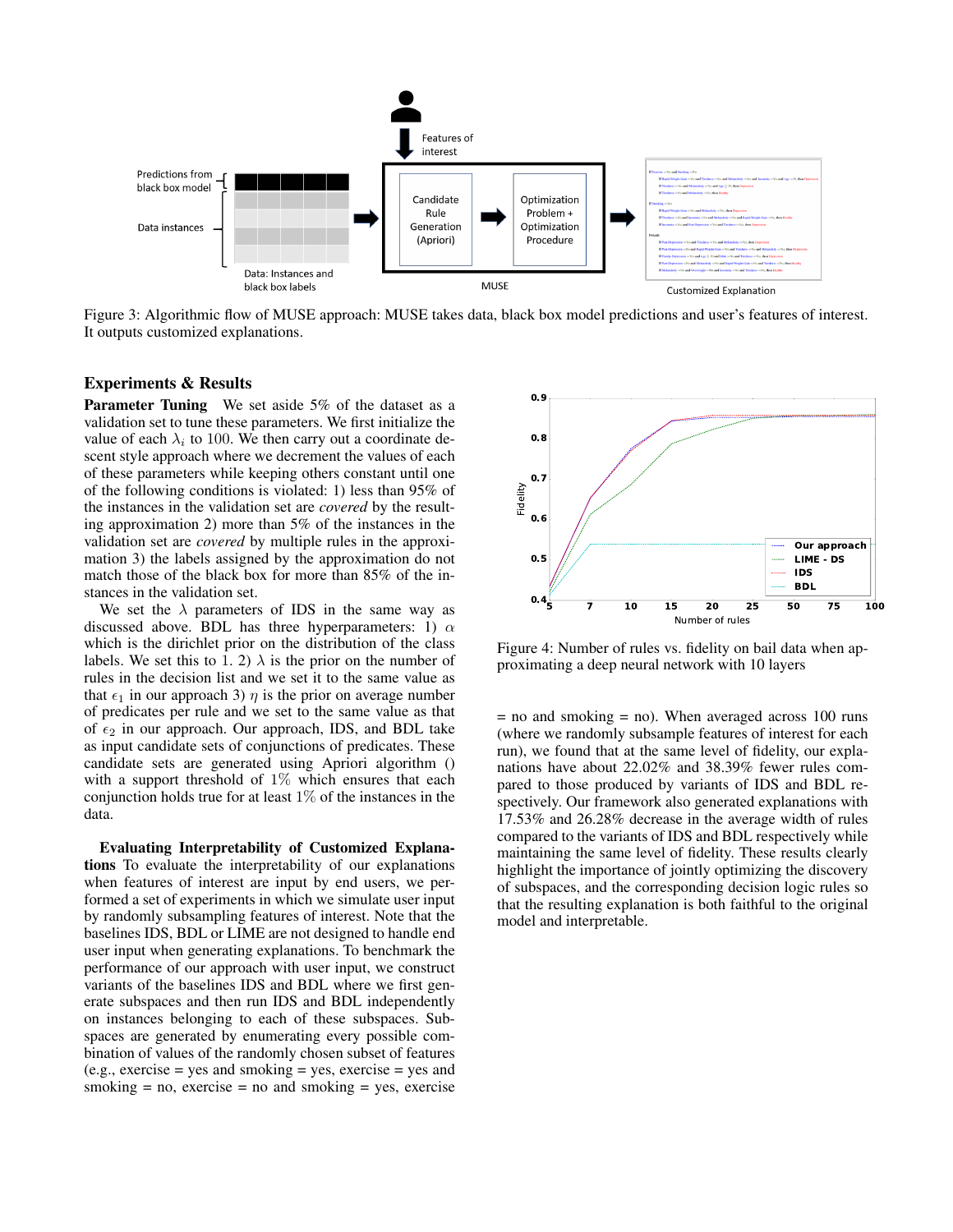

Figure 3: Algorithmic flow of MUSE approach: MUSE takes data, black box model predictions and user's features of interest. It outputs customized explanations.

### Experiments & Results

Parameter Tuning We set aside 5% of the dataset as a validation set to tune these parameters. We first initialize the value of each  $\lambda_i$  to 100. We then carry out a coordinate descent style approach where we decrement the values of each of these parameters while keeping others constant until one of the following conditions is violated: 1) less than 95% of the instances in the validation set are *covered* by the resulting approximation 2) more than 5% of the instances in the validation set are *covered* by multiple rules in the approximation 3) the labels assigned by the approximation do not match those of the black box for more than 85% of the instances in the validation set.

We set the  $\lambda$  parameters of IDS in the same way as discussed above. BDL has three hyperparameters: 1)  $\alpha$ which is the dirichlet prior on the distribution of the class labels. We set this to 1. 2)  $\lambda$  is the prior on the number of rules in the decision list and we set it to the same value as that  $\epsilon_1$  in our approach 3)  $\eta$  is the prior on average number of predicates per rule and we set to the same value as that of  $\epsilon_2$  in our approach. Our approach, IDS, and BDL take as input candidate sets of conjunctions of predicates. These candidate sets are generated using Apriori algorithm () with a support threshold of  $1\%$  which ensures that each conjunction holds true for at least 1% of the instances in the data.

Evaluating Interpretability of Customized Explanations To evaluate the interpretability of our explanations when features of interest are input by end users, we performed a set of experiments in which we simulate user input by randomly subsampling features of interest. Note that the baselines IDS, BDL or LIME are not designed to handle end user input when generating explanations. To benchmark the performance of our approach with user input, we construct variants of the baselines IDS and BDL where we first generate subspaces and then run IDS and BDL independently on instances belonging to each of these subspaces. Subspaces are generated by enumerating every possible combination of values of the randomly chosen subset of features  $(e.g., exercise = yes and smoking = yes, exercise = yes and$ smoking  $=$  no, exercise  $=$  no and smoking  $=$  yes, exercise



Figure 4: Number of rules vs. fidelity on bail data when approximating a deep neural network with 10 layers

 $=$  no and smoking  $=$  no). When averaged across 100 runs (where we randomly subsample features of interest for each run), we found that at the same level of fidelity, our explanations have about 22.02% and 38.39% fewer rules compared to those produced by variants of IDS and BDL respectively. Our framework also generated explanations with 17.53% and 26.28% decrease in the average width of rules compared to the variants of IDS and BDL respectively while maintaining the same level of fidelity. These results clearly highlight the importance of jointly optimizing the discovery of subspaces, and the corresponding decision logic rules so that the resulting explanation is both faithful to the original model and interpretable.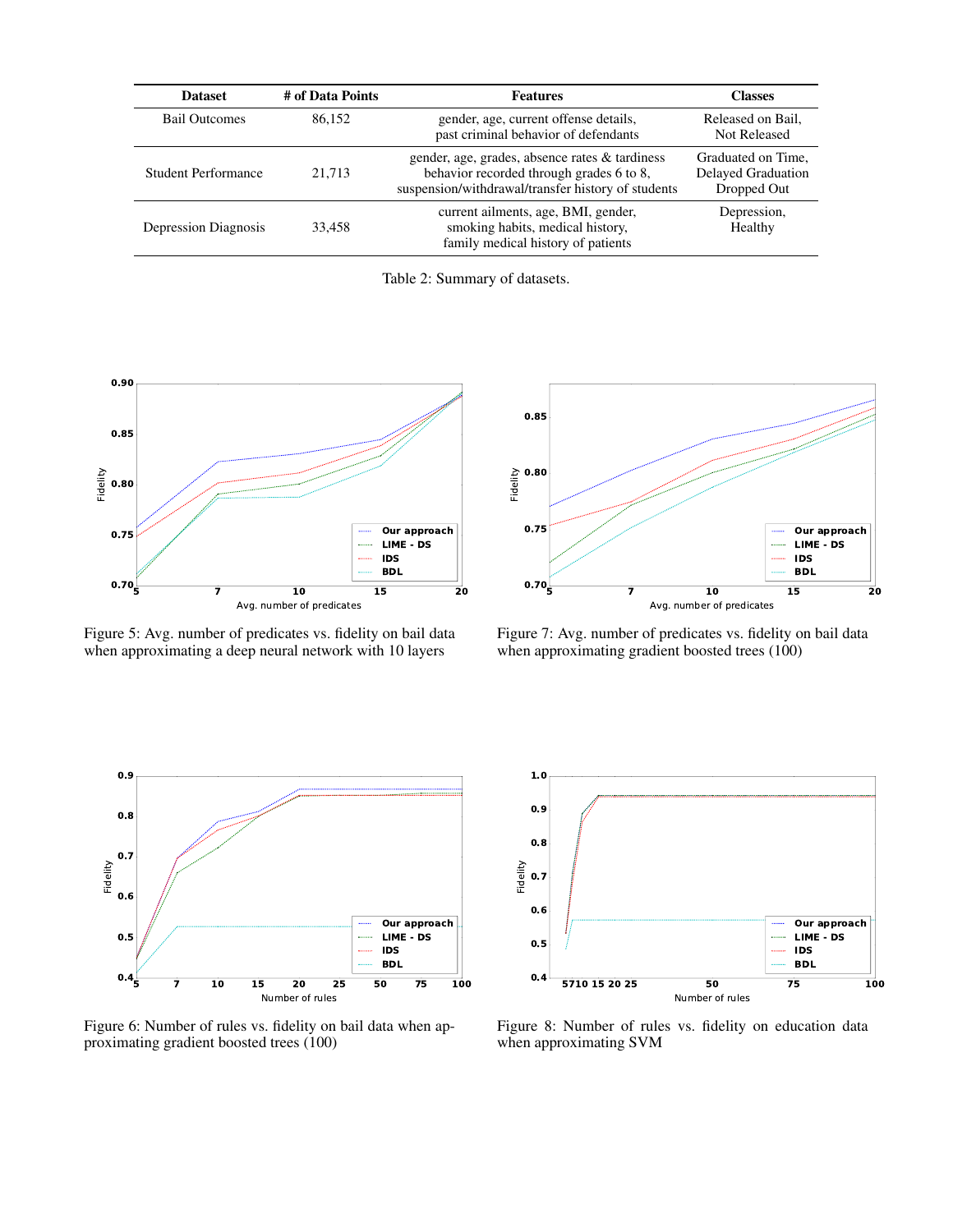| <b>Dataset</b>              | # of Data Points | <b>Features</b>                                                                                                                                  | <b>Classes</b>                                          |
|-----------------------------|------------------|--------------------------------------------------------------------------------------------------------------------------------------------------|---------------------------------------------------------|
| <b>Bail Outcomes</b>        | 86,152           | gender, age, current offense details,<br>past criminal behavior of defendants                                                                    | Released on Bail,<br>Not Released                       |
| <b>Student Performance</b>  | 21.713           | gender, age, grades, absence rates & tardiness<br>behavior recorded through grades 6 to 8,<br>suspension/withdrawal/transfer history of students | Graduated on Time,<br>Delayed Graduation<br>Dropped Out |
| <b>Depression Diagnosis</b> | 33.458           | current ailments, age, BMI, gender,<br>smoking habits, medical history,<br>family medical history of patients                                    | Depression,<br>Healthy                                  |

Table 2: Summary of datasets.



Figure 5: Avg. number of predicates vs. fidelity on bail data when approximating a deep neural network with 10 layers



Figure 7: Avg. number of predicates vs. fidelity on bail data when approximating gradient boosted trees (100)



Figure 6: Number of rules vs. fidelity on bail data when ap-



Figure 8: Number of rules vs. fidelity on education data when approximating SVM